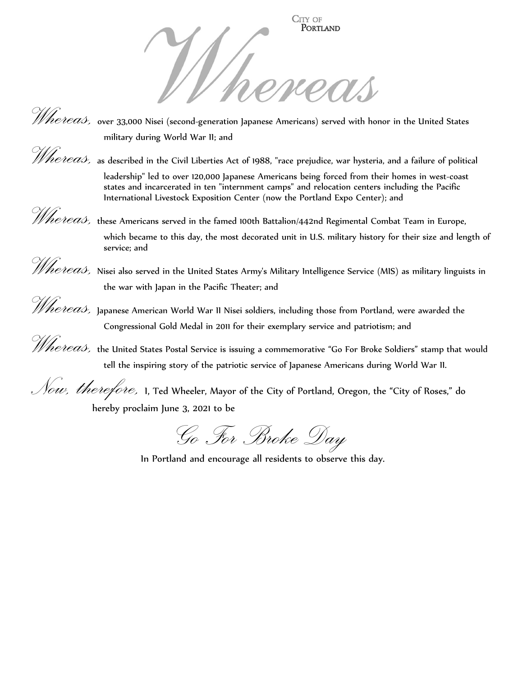

*Whereas,* over 33,000 Nisei (second-generation Japanese Americans) served with honor in the United States military during World War II; and

Whereas, as described in the Civil Liberties Act of 1988, "race prejudice, war hysteria, and a failure of political

leadership" led to over 120,000 Japanese Americans being forced from their homes in west-coast states and incarcerated in ten "internment camps" and relocation centers including the Pacific International Livestock Exposition Center (now the Portland Expo Center); and

*Whereas,* these Americans served in the famed 100th Battalion/442nd Regimental Combat Team in Europe, which became to this day, the most decorated unit in U.S. military history for their size and length of service; and

*Whereas,* Nisei also served in the United States Army's Military Intelligence Service (MIS) as military linguists in the war with Japan in the Pacific Theater; and

*Whereas,* Japanese American World War II Nisei soldiers, including those from Portland, were awarded the Congressional Gold Medal in 2011 for their exemplary service and patriotism; and

*Whereas,* the United States Postal Service is issuing a commemorative "Go For Broke Soldiers" stamp that would tell the inspiring story of the patriotic service of Japanese Americans during World War II.

 $\mathcal{N}$ ow, therefore, 1, Ted Wheeler, Mayor of the City of Portland, Oregon, the "City of Roses," do hereby proclaim June 3, 2021 to be

Go For Broke Day

In Portland and encourage all residents to observe this day.